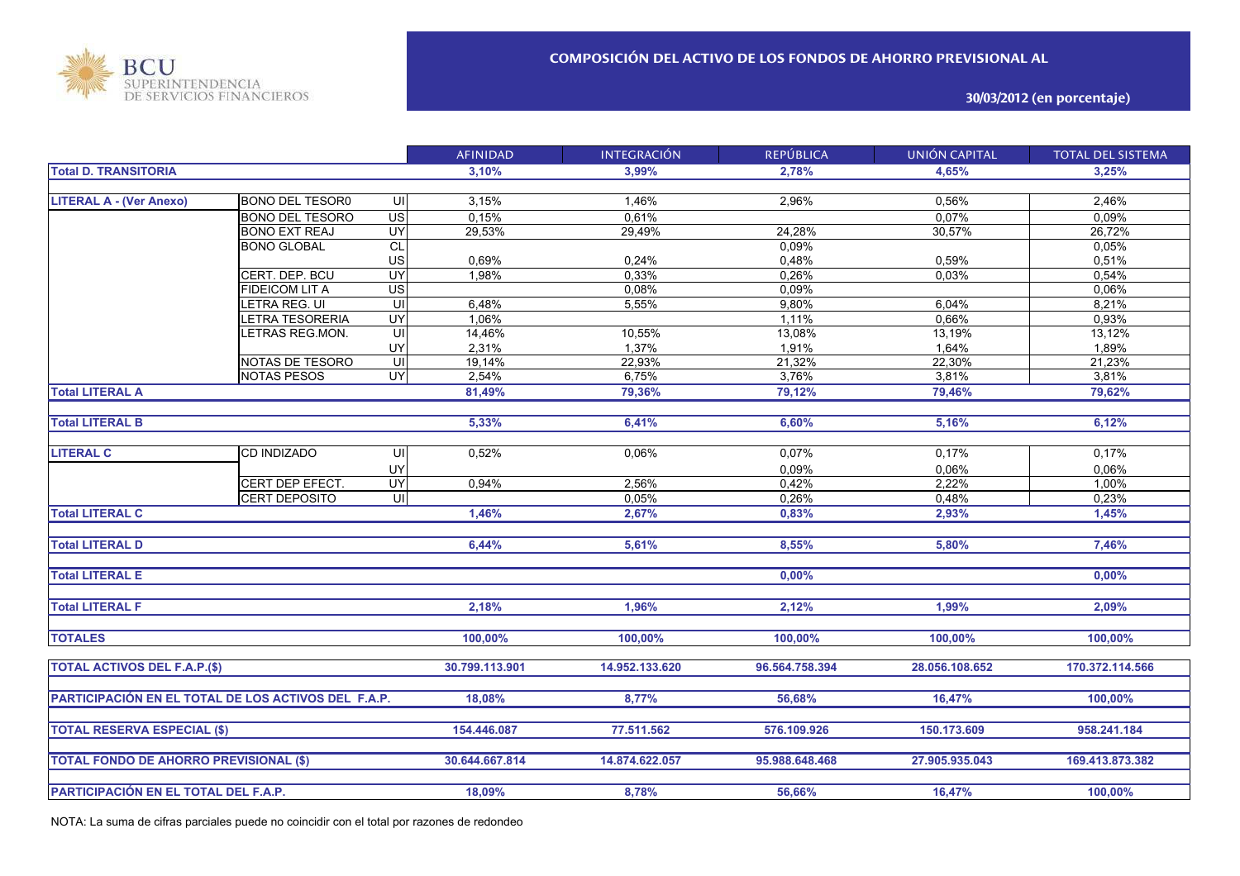

**30/03/2012 (en porcentaje)**

|                                                     |                        |                 | <b>AFINIDAD</b> | <b>INTEGRACIÓN</b> | <b>REPÚBLICA</b> | UNIÓN CAPITAL  | <b>TOTAL DEL SISTEMA</b> |
|-----------------------------------------------------|------------------------|-----------------|-----------------|--------------------|------------------|----------------|--------------------------|
| <b>Total D. TRANSITORIA</b>                         |                        |                 | 3,10%           | 3,99%              | 2,78%            | 4.65%          | 3,25%                    |
|                                                     |                        |                 |                 |                    |                  |                |                          |
| <b>LITERAL A - (Ver Anexo)</b>                      | <b>BONO DEL TESOR0</b> | UI              | 3,15%           | 1,46%              | 2,96%            | 0,56%          | 2,46%                    |
|                                                     | <b>BONO DEL TESORO</b> | $\overline{US}$ | 0,15%           | 0,61%              |                  | 0,07%          | 0,09%                    |
|                                                     | <b>BONO EXT REAJ</b>   | UY              | 29,53%          | 29,49%             | 24,28%           | 30,57%         | 26,72%                   |
|                                                     | <b>BONO GLOBAL</b>     | CL              |                 |                    | 0,09%            |                | 0,05%                    |
|                                                     |                        | US              | 0,69%           | 0,24%              | 0,48%            | 0,59%          | 0,51%                    |
|                                                     | CERT. DEP. BCU         | UY              | 1,98%           | 0,33%              | 0,26%            | 0,03%          | 0,54%                    |
|                                                     | <b>FIDEICOM LIT A</b>  | $\overline{US}$ |                 | 0,08%              | 0,09%            |                | 0,06%                    |
|                                                     | LETRA REG. UI          | UI              | 6,48%           | 5,55%              | 9,80%            | 6,04%          | 8,21%                    |
|                                                     | LETRA TESORERIA        | UY              | 1,06%           |                    | 1,11%            | 0,66%          | 0,93%                    |
|                                                     | LETRAS REG.MON.        | $\subseteq$     | 14,46%          | 10,55%             | 13,08%           | 13,19%         | 13,12%                   |
|                                                     |                        | UY              | 2,31%           | 1,37%              | 1,91%            | 1,64%          | 1,89%                    |
|                                                     | NOTAS DE TESORO        | S               | 19,14%          | 22,93%             | 21,32%           | 22,30%         | 21,23%                   |
|                                                     | <b>NOTAS PESOS</b>     | UY              | 2,54%           | 6,75%              | 3,76%            | 3,81%          | 3,81%                    |
| <b>Total LITERAL A</b>                              |                        |                 | 81,49%          | 79,36%             | 79,12%           | 79,46%         | 79,62%                   |
|                                                     |                        |                 |                 |                    |                  |                |                          |
| <b>Total LITERAL B</b>                              |                        |                 | 5,33%           | 6,41%              | 6,60%            | 5,16%          | 6,12%                    |
|                                                     |                        |                 |                 |                    |                  |                |                          |
| <b>LITERAL C</b>                                    | CD INDIZADO            | UI              | 0,52%           | 0,06%              | 0,07%            | 0,17%          | 0,17%                    |
|                                                     |                        | UY              |                 |                    | 0,09%            | 0.06%          | 0,06%                    |
|                                                     | CERT DEP EFECT.        | UY              | 0,94%           | 2,56%              | 0,42%            | 2,22%          | 1,00%                    |
|                                                     | <b>CERT DEPOSITO</b>   | UI              |                 | 0,05%              | 0,26%            | 0,48%          | 0,23%                    |
| <b>Total LITERAL C</b>                              |                        |                 | 1,46%           | 2,67%              | 0,83%            | 2,93%          | 1,45%                    |
|                                                     |                        |                 |                 |                    |                  |                |                          |
| <b>Total LITERAL D</b>                              |                        |                 | 6,44%           | 5,61%              | 8,55%            | 5,80%          | 7,46%                    |
|                                                     |                        |                 |                 |                    |                  |                |                          |
| <b>Total LITERAL E</b>                              |                        |                 |                 |                    | 0,00%            |                | 0,00%                    |
|                                                     |                        |                 |                 |                    |                  |                |                          |
| <b>Total LITERAL F</b>                              |                        |                 | 2,18%           | 1,96%              | 2,12%            | 1,99%          | 2,09%                    |
|                                                     |                        |                 |                 |                    |                  |                |                          |
| <b>TOTALES</b>                                      |                        |                 | 100,00%         | 100,00%            | 100,00%          | 100,00%        | 100,00%                  |
|                                                     |                        |                 |                 |                    |                  |                |                          |
| <b>TOTAL ACTIVOS DEL F.A.P.(\$)</b>                 |                        |                 | 30.799.113.901  | 14.952.133.620     | 96.564.758.394   | 28.056.108.652 | 170.372.114.566          |
|                                                     |                        |                 |                 |                    |                  |                |                          |
| PARTICIPACIÓN EN EL TOTAL DE LOS ACTIVOS DEL F.A.P. |                        |                 | 18,08%          | 8,77%              | 56,68%           | 16,47%         | 100,00%                  |
|                                                     |                        |                 |                 |                    |                  |                |                          |
| <b>TOTAL RESERVA ESPECIAL (\$)</b>                  |                        |                 | 154.446.087     | 77.511.562         | 576.109.926      | 150.173.609    | 958.241.184              |
|                                                     |                        |                 |                 |                    |                  |                |                          |
|                                                     |                        |                 |                 |                    |                  |                |                          |
| <b>TOTAL FONDO DE AHORRO PREVISIONAL (\$)</b>       |                        |                 | 30.644.667.814  | 14.874.622.057     | 95.988.648.468   | 27.905.935.043 | 169.413.873.382          |
|                                                     |                        |                 |                 |                    |                  |                |                          |
| PARTICIPACIÓN EN EL TOTAL DEL F.A.P.                |                        |                 | 18,09%          | 8,78%              | 56,66%           | 16,47%         | 100,00%                  |

NOTA: La suma de cifras parciales puede no coincidir con el total por razones de redondeo